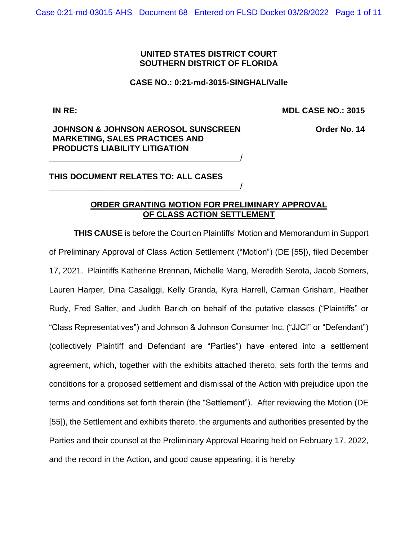### **UNITED STATES DISTRICT COURT SOUTHERN DISTRICT OF FLORIDA**

### **CASE NO.: 0:21-md-3015-SINGHAL/Valle**

**IN RE:**

**MDL CASE NO.: 3015**

### **JOHNSON & JOHNSON AEROSOL SUNSCREEN MARKETING, SALES PRACTICES AND PRODUCTS LIABILITY LITIGATION**

\_\_\_\_\_\_\_\_\_\_\_\_\_\_\_\_\_\_\_\_\_\_\_\_\_\_\_\_\_\_\_\_\_\_\_\_\_\_\_\_\_\_/

\_\_\_\_\_\_\_\_\_\_\_\_\_\_\_\_\_\_\_\_\_\_\_\_\_\_\_\_\_\_\_\_\_\_\_\_\_\_\_\_\_\_/

**Order No. 14**

**THIS DOCUMENT RELATES TO: ALL CASES**

## **ORDER GRANTING MOTION FOR PRELIMINARY APPROVAL OF CLASS ACTION SETTLEMENT**

**THIS CAUSE** is before the Court on Plaintiffs' Motion and Memorandum in Support of Preliminary Approval of Class Action Settlement ("Motion") (DE [55]), filed December 17, 2021. Plaintiffs Katherine Brennan, Michelle Mang, Meredith Serota, Jacob Somers, Lauren Harper, Dina Casaliggi, Kelly Granda, Kyra Harrell, Carman Grisham, Heather Rudy, Fred Salter, and Judith Barich on behalf of the putative classes ("Plaintiffs" or "Class Representatives") and Johnson & Johnson Consumer Inc. ("JJCI" or "Defendant") (collectively Plaintiff and Defendant are "Parties") have entered into a settlement agreement, which, together with the exhibits attached thereto, sets forth the terms and conditions for a proposed settlement and dismissal of the Action with prejudice upon the terms and conditions set forth therein (the "Settlement"). After reviewing the Motion (DE [55]), the Settlement and exhibits thereto, the arguments and authorities presented by the Parties and their counsel at the Preliminary Approval Hearing held on February 17, 2022, and the record in the Action, and good cause appearing, it is hereby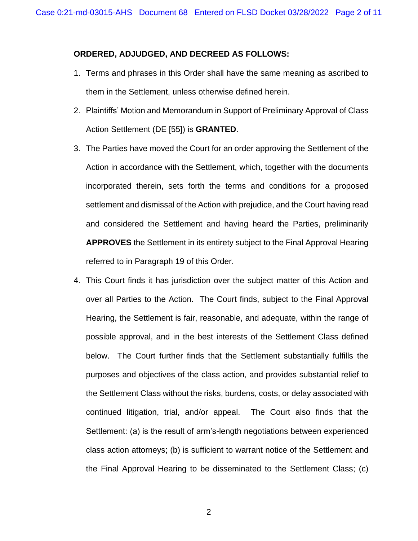### **ORDERED, ADJUDGED, AND DECREED AS FOLLOWS:**

- 1. Terms and phrases in this Order shall have the same meaning as ascribed to them in the Settlement, unless otherwise defined herein.
- 2. Plaintiffs' Motion and Memorandum in Support of Preliminary Approval of Class Action Settlement (DE [55]) is **GRANTED**.
- 3. The Parties have moved the Court for an order approving the Settlement of the Action in accordance with the Settlement, which, together with the documents incorporated therein, sets forth the terms and conditions for a proposed settlement and dismissal of the Action with prejudice, and the Court having read and considered the Settlement and having heard the Parties, preliminarily **APPROVES** the Settlement in its entirety subject to the Final Approval Hearing referred to in Paragraph 19 of this Order.
- 4. This Court finds it has jurisdiction over the subject matter of this Action and over all Parties to the Action. The Court finds, subject to the Final Approval Hearing, the Settlement is fair, reasonable, and adequate, within the range of possible approval, and in the best interests of the Settlement Class defined below. The Court further finds that the Settlement substantially fulfills the purposes and objectives of the class action, and provides substantial relief to the Settlement Class without the risks, burdens, costs, or delay associated with continued litigation, trial, and/or appeal. The Court also finds that the Settlement: (a) is the result of arm's-length negotiations between experienced class action attorneys; (b) is sufficient to warrant notice of the Settlement and the Final Approval Hearing to be disseminated to the Settlement Class; (c)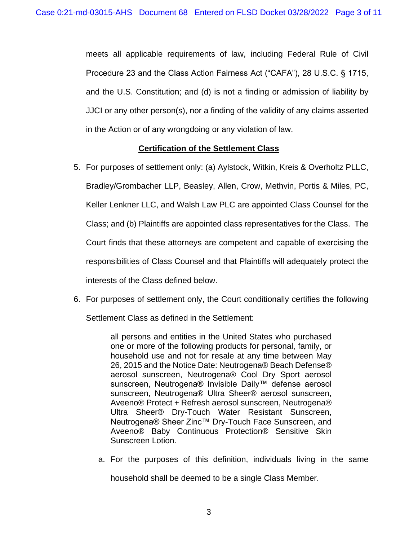meets all applicable requirements of law, including Federal Rule of Civil Procedure 23 and the Class Action Fairness Act ("CAFA"), 28 U.S.C. § 1715, and the U.S. Constitution; and (d) is not a finding or admission of liability by JJCI or any other person(s), nor a finding of the validity of any claims asserted in the Action or of any wrongdoing or any violation of law.

# **Certification of the Settlement Class**

- 5. For purposes of settlement only: (a) Aylstock, Witkin, Kreis & Overholtz PLLC, Bradley/Grombacher LLP, Beasley, Allen, Crow, Methvin, Portis & Miles, PC, Keller Lenkner LLC, and Walsh Law PLC are appointed Class Counsel for the Class; and (b) Plaintiffs are appointed class representatives for the Class. The Court finds that these attorneys are competent and capable of exercising the responsibilities of Class Counsel and that Plaintiffs will adequately protect the interests of the Class defined below.
- 6. For purposes of settlement only, the Court conditionally certifies the following

Settlement Class as defined in the Settlement:

all persons and entities in the United States who purchased one or more of the following products for personal, family, or household use and not for resale at any time between May 26, 2015 and the Notice Date: Neutrogena® Beach Defense® aerosol sunscreen, Neutrogena® Cool Dry Sport aerosol sunscreen, Neutrogena® Invisible Daily™ defense aerosol sunscreen, Neutrogena® Ultra Sheer® aerosol sunscreen, Aveeno® Protect + Refresh aerosol sunscreen, Neutrogena® Ultra Sheer® Dry-Touch Water Resistant Sunscreen, Neutrogena® Sheer Zinc™ Dry-Touch Face Sunscreen, and Aveeno® Baby Continuous Protection® Sensitive Skin Sunscreen Lotion.

a. For the purposes of this definition, individuals living in the same household shall be deemed to be a single Class Member.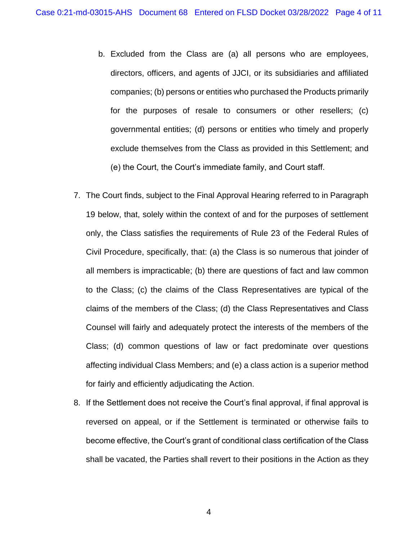- b. Excluded from the Class are (a) all persons who are employees, directors, officers, and agents of JJCI, or its subsidiaries and affiliated companies; (b) persons or entities who purchased the Products primarily for the purposes of resale to consumers or other resellers; (c) governmental entities; (d) persons or entities who timely and properly exclude themselves from the Class as provided in this Settlement; and (e) the Court, the Court's immediate family, and Court staff.
- 7. The Court finds, subject to the Final Approval Hearing referred to in Paragraph 19 below, that, solely within the context of and for the purposes of settlement only, the Class satisfies the requirements of Rule 23 of the Federal Rules of Civil Procedure, specifically, that: (a) the Class is so numerous that joinder of all members is impracticable; (b) there are questions of fact and law common to the Class; (c) the claims of the Class Representatives are typical of the claims of the members of the Class; (d) the Class Representatives and Class Counsel will fairly and adequately protect the interests of the members of the Class; (d) common questions of law or fact predominate over questions affecting individual Class Members; and (e) a class action is a superior method for fairly and efficiently adjudicating the Action.
- 8. If the Settlement does not receive the Court's final approval, if final approval is reversed on appeal, or if the Settlement is terminated or otherwise fails to become effective, the Court's grant of conditional class certification of the Class shall be vacated, the Parties shall revert to their positions in the Action as they

4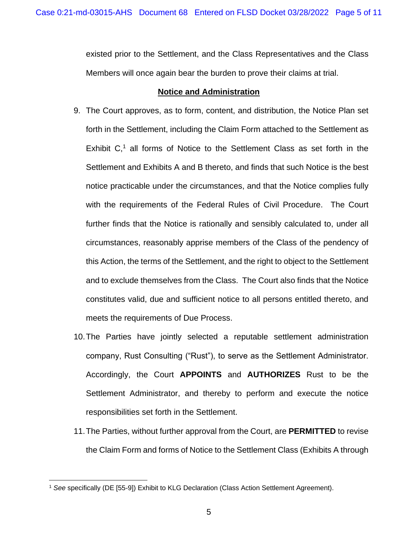existed prior to the Settlement, and the Class Representatives and the Class Members will once again bear the burden to prove their claims at trial.

### **Notice and Administration**

- 9. The Court approves, as to form, content, and distribution, the Notice Plan set forth in the Settlement, including the Claim Form attached to the Settlement as Exhibit  $C<sub>1</sub><sup>1</sup>$  all forms of Notice to the Settlement Class as set forth in the Settlement and Exhibits A and B thereto, and finds that such Notice is the best notice practicable under the circumstances, and that the Notice complies fully with the requirements of the Federal Rules of Civil Procedure. The Court further finds that the Notice is rationally and sensibly calculated to, under all circumstances, reasonably apprise members of the Class of the pendency of this Action, the terms of the Settlement, and the right to object to the Settlement and to exclude themselves from the Class. The Court also finds that the Notice constitutes valid, due and sufficient notice to all persons entitled thereto, and meets the requirements of Due Process.
- 10.The Parties have jointly selected a reputable settlement administration company, Rust Consulting ("Rust"), to serve as the Settlement Administrator. Accordingly, the Court **APPOINTS** and **AUTHORIZES** Rust to be the Settlement Administrator, and thereby to perform and execute the notice responsibilities set forth in the Settlement.
- 11.The Parties, without further approval from the Court, are **PERMITTED** to revise the Claim Form and forms of Notice to the Settlement Class (Exhibits A through

<sup>1</sup> *See* specifically (DE [55-9]) Exhibit to KLG Declaration (Class Action Settlement Agreement).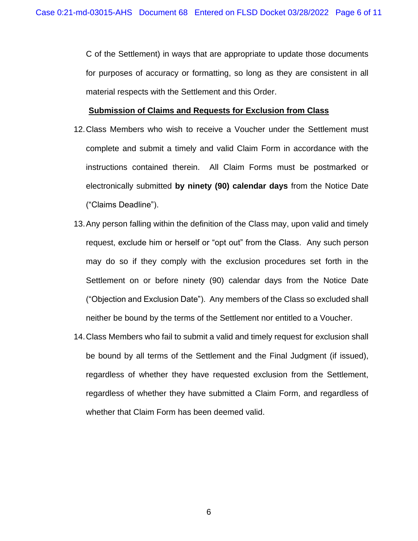C of the Settlement) in ways that are appropriate to update those documents for purposes of accuracy or formatting, so long as they are consistent in all material respects with the Settlement and this Order.

#### **Submission of Claims and Requests for Exclusion from Class**

- 12.Class Members who wish to receive a Voucher under the Settlement must complete and submit a timely and valid Claim Form in accordance with the instructions contained therein. All Claim Forms must be postmarked or electronically submitted **by ninety (90) calendar days** from the Notice Date ("Claims Deadline").
- 13.Any person falling within the definition of the Class may, upon valid and timely request, exclude him or herself or "opt out" from the Class. Any such person may do so if they comply with the exclusion procedures set forth in the Settlement on or before ninety (90) calendar days from the Notice Date ("Objection and Exclusion Date"). Any members of the Class so excluded shall neither be bound by the terms of the Settlement nor entitled to a Voucher.
- 14.Class Members who fail to submit a valid and timely request for exclusion shall be bound by all terms of the Settlement and the Final Judgment (if issued), regardless of whether they have requested exclusion from the Settlement, regardless of whether they have submitted a Claim Form, and regardless of whether that Claim Form has been deemed valid.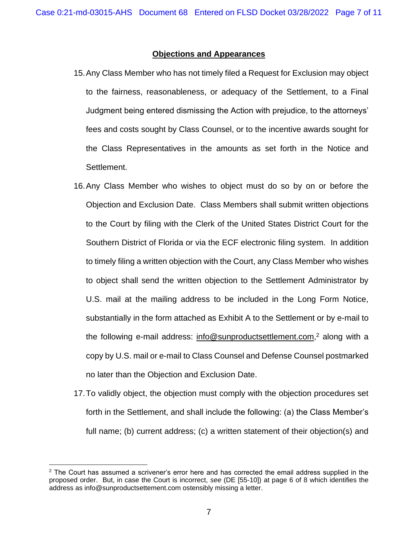### **Objections and Appearances**

- 15.Any Class Member who has not timely filed a Request for Exclusion may object to the fairness, reasonableness, or adequacy of the Settlement, to a Final Judgment being entered dismissing the Action with prejudice, to the attorneys' fees and costs sought by Class Counsel, or to the incentive awards sought for the Class Representatives in the amounts as set forth in the Notice and Settlement.
- 16.Any Class Member who wishes to object must do so by on or before the Objection and Exclusion Date. Class Members shall submit written objections to the Court by filing with the Clerk of the United States District Court for the Southern District of Florida or via the ECF electronic filing system. In addition to timely filing a written objection with the Court, any Class Member who wishes to object shall send the written objection to the Settlement Administrator by U.S. mail at the mailing address to be included in the Long Form Notice, substantially in the form attached as Exhibit A to the Settlement or by e-mail to the following e-mail address: info@sunproductsettlement.com,<sup>2</sup> along with a copy by U.S. mail or e-mail to Class Counsel and Defense Counsel postmarked no later than the Objection and Exclusion Date.
- 17.To validly object, the objection must comply with the objection procedures set forth in the Settlement, and shall include the following: (a) the Class Member's full name; (b) current address; (c) a written statement of their objection(s) and

 $2$  The Court has assumed a scrivener's error here and has corrected the email address supplied in the proposed order. But, in case the Court is incorrect, *see* (DE [55-10]) at page 6 of 8 which identifies the address as info@sunproductsettement.com ostensibly missing a letter.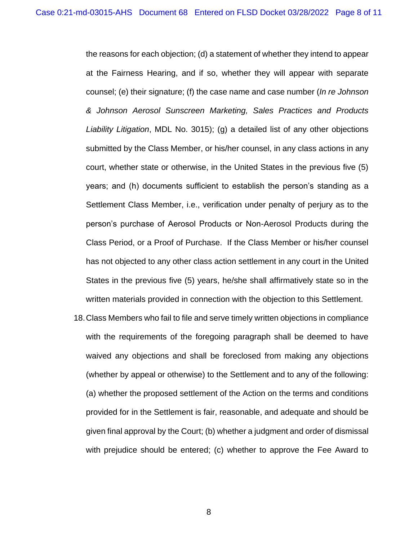the reasons for each objection; (d) a statement of whether they intend to appear at the Fairness Hearing, and if so, whether they will appear with separate counsel; (e) their signature; (f) the case name and case number (*In re Johnson & Johnson Aerosol Sunscreen Marketing, Sales Practices and Products Liability Litigation*, MDL No. 3015); (g) a detailed list of any other objections submitted by the Class Member, or his/her counsel, in any class actions in any court, whether state or otherwise, in the United States in the previous five (5) years; and (h) documents sufficient to establish the person's standing as a Settlement Class Member, i.e., verification under penalty of perjury as to the person's purchase of Aerosol Products or Non-Aerosol Products during the Class Period, or a Proof of Purchase. If the Class Member or his/her counsel has not objected to any other class action settlement in any court in the United States in the previous five (5) years, he/she shall affirmatively state so in the written materials provided in connection with the objection to this Settlement.

18.Class Members who fail to file and serve timely written objections in compliance with the requirements of the foregoing paragraph shall be deemed to have waived any objections and shall be foreclosed from making any objections (whether by appeal or otherwise) to the Settlement and to any of the following: (a) whether the proposed settlement of the Action on the terms and conditions provided for in the Settlement is fair, reasonable, and adequate and should be given final approval by the Court; (b) whether a judgment and order of dismissal with prejudice should be entered; (c) whether to approve the Fee Award to

8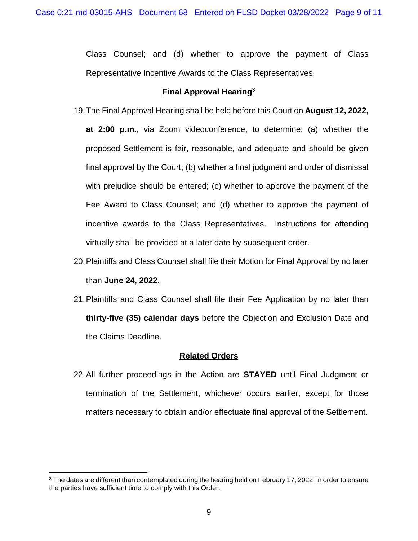Class Counsel; and (d) whether to approve the payment of Class Representative Incentive Awards to the Class Representatives.

## **Final Approval Hearing**<sup>3</sup>

- 19.The Final Approval Hearing shall be held before this Court on **August 12, 2022, at 2:00 p.m.**, via Zoom videoconference, to determine: (a) whether the proposed Settlement is fair, reasonable, and adequate and should be given final approval by the Court; (b) whether a final judgment and order of dismissal with prejudice should be entered; (c) whether to approve the payment of the Fee Award to Class Counsel; and (d) whether to approve the payment of incentive awards to the Class Representatives. Instructions for attending virtually shall be provided at a later date by subsequent order.
- 20.Plaintiffs and Class Counsel shall file their Motion for Final Approval by no later than **June 24, 2022**.
- 21.Plaintiffs and Class Counsel shall file their Fee Application by no later than **thirty-five (35) calendar days** before the Objection and Exclusion Date and the Claims Deadline.

# **Related Orders**

22.All further proceedings in the Action are **STAYED** until Final Judgment or termination of the Settlement, whichever occurs earlier, except for those matters necessary to obtain and/or effectuate final approval of the Settlement.

<sup>&</sup>lt;sup>3</sup> The dates are different than contemplated during the hearing held on February 17, 2022, in order to ensure the parties have sufficient time to comply with this Order.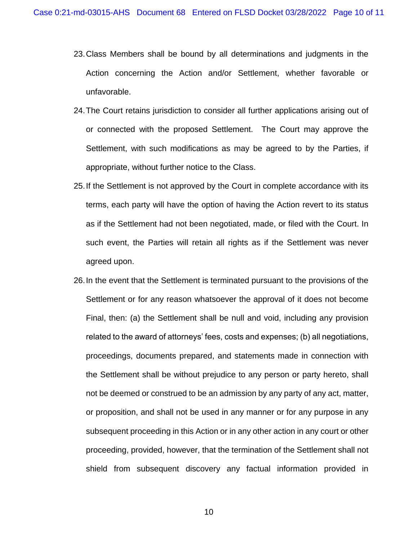- 23.Class Members shall be bound by all determinations and judgments in the Action concerning the Action and/or Settlement, whether favorable or unfavorable.
- 24.The Court retains jurisdiction to consider all further applications arising out of or connected with the proposed Settlement. The Court may approve the Settlement, with such modifications as may be agreed to by the Parties, if appropriate, without further notice to the Class.
- 25.If the Settlement is not approved by the Court in complete accordance with its terms, each party will have the option of having the Action revert to its status as if the Settlement had not been negotiated, made, or filed with the Court. In such event, the Parties will retain all rights as if the Settlement was never agreed upon.
- 26.In the event that the Settlement is terminated pursuant to the provisions of the Settlement or for any reason whatsoever the approval of it does not become Final, then: (a) the Settlement shall be null and void, including any provision related to the award of attorneys' fees, costs and expenses; (b) all negotiations, proceedings, documents prepared, and statements made in connection with the Settlement shall be without prejudice to any person or party hereto, shall not be deemed or construed to be an admission by any party of any act, matter, or proposition, and shall not be used in any manner or for any purpose in any subsequent proceeding in this Action or in any other action in any court or other proceeding, provided, however, that the termination of the Settlement shall not shield from subsequent discovery any factual information provided in

10